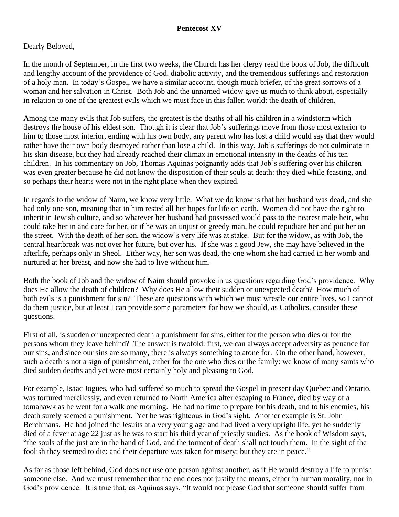## **Pentecost XV**

## Dearly Beloved,

In the month of September, in the first two weeks, the Church has her clergy read the book of Job, the difficult and lengthy account of the providence of God, diabolic activity, and the tremendous sufferings and restoration of a holy man. In today's Gospel, we have a similar account, though much briefer, of the great sorrows of a woman and her salvation in Christ. Both Job and the unnamed widow give us much to think about, especially in relation to one of the greatest evils which we must face in this fallen world: the death of children.

Among the many evils that Job suffers, the greatest is the deaths of all his children in a windstorm which destroys the house of his eldest son. Though it is clear that Job's sufferings move from those most exterior to him to those most interior, ending with his own body, any parent who has lost a child would say that they would rather have their own body destroyed rather than lose a child. In this way, Job's sufferings do not culminate in his skin disease, but they had already reached their climax in emotional intensity in the deaths of his ten children. In his commentary on Job, Thomas Aquinas poignantly adds that Job's suffering over his children was even greater because he did not know the disposition of their souls at death: they died while feasting, and so perhaps their hearts were not in the right place when they expired.

In regards to the widow of Naim, we know very little. What we do know is that her husband was dead, and she had only one son, meaning that in him rested all her hopes for life on earth. Women did not have the right to inherit in Jewish culture, and so whatever her husband had possessed would pass to the nearest male heir, who could take her in and care for her, or if he was an unjust or greedy man, he could repudiate her and put her on the street. With the death of her son, the widow's very life was at stake. But for the widow, as with Job, the central heartbreak was not over her future, but over his. If she was a good Jew, she may have believed in the afterlife, perhaps only in Sheol. Either way, her son was dead, the one whom she had carried in her womb and nurtured at her breast, and now she had to live without him.

Both the book of Job and the widow of Naim should provoke in us questions regarding God's providence. Why does He allow the death of children? Why does He allow their sudden or unexpected death? How much of both evils is a punishment for sin? These are questions with which we must wrestle our entire lives, so I cannot do them justice, but at least I can provide some parameters for how we should, as Catholics, consider these questions.

First of all, is sudden or unexpected death a punishment for sins, either for the person who dies or for the persons whom they leave behind? The answer is twofold: first, we can always accept adversity as penance for our sins, and since our sins are so many, there is always something to atone for. On the other hand, however, such a death is not a sign of punishment, either for the one who dies or the family: we know of many saints who died sudden deaths and yet were most certainly holy and pleasing to God.

For example, Isaac Jogues, who had suffered so much to spread the Gospel in present day Quebec and Ontario, was tortured mercilessly, and even returned to North America after escaping to France, died by way of a tomahawk as he went for a walk one morning. He had no time to prepare for his death, and to his enemies, his death surely seemed a punishment. Yet he was righteous in God's sight. Another example is St. John Berchmans. He had joined the Jesuits at a very young age and had lived a very upright life, yet he suddenly died of a fever at age 22 just as he was to start his third year of priestly studies. As the book of Wisdom says, "the souls of the just are in the hand of God, and the torment of death shall not touch them. In the sight of the foolish they seemed to die: and their departure was taken for misery: but they are in peace."

As far as those left behind, God does not use one person against another, as if He would destroy a life to punish someone else. And we must remember that the end does not justify the means, either in human morality, nor in God's providence. It is true that, as Aquinas says, "It would not please God that someone should suffer from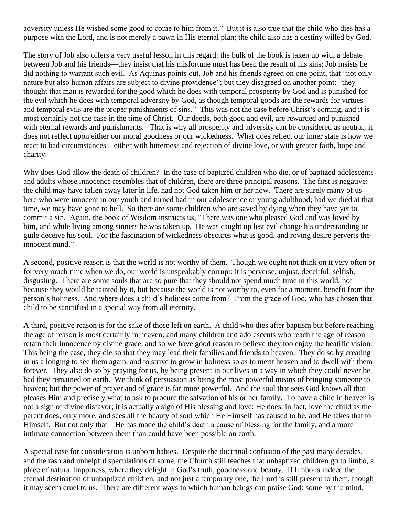adversity unless He wished some good to come to him from it." But it is also true that the child who dies has a purpose with the Lord, and is not merely a pawn in His eternal plan; the child also has a destiny willed by God.

The story of Job also offers a very useful lesson in this regard: the bulk of the book is taken up with a debate between Job and his friends—they insist that his misfortune must has been the result of his sins; Job insists he did nothing to warrant such evil. As Aquinas points out, Job and his friends agreed on one point, that "not only nature but also human affairs are subject to divine providence"; but they disagreed on another point: "they thought that man is rewarded for the good which he does with temporal prosperity by God and is punished for the evil which he does with temporal adversity by God, as though temporal goods are the rewards for virtues and temporal evils are the proper punishments of sins." This was not the case before Christ's coming, and it is most certainly not the case in the time of Christ. Our deeds, both good and evil, are rewarded and punished with eternal rewards and punishments. That is why all prosperity and adversity can be considered as neutral; it does not reflect upon either our moral goodness or our wickedness. What does reflect our inner state is how we react to bad circumstances—either with bitterness and rejection of divine love, or with greater faith, hope and charity.

Why does God allow the death of children? In the case of baptized children who die, or of baptized adolescents and adults whose innocence resembles that of children, there are three principal reasons. The first is negative: the child may have fallen away later in life, had not God taken him or her now. There are surely many of us here who were innocent in our youth and turned bad in our adolescence or young adulthood; had we died at that time, we may have gone to hell. So there are some children who are saved by dying when they have yet to commit a sin. Again, the book of Wisdom instructs us, "There was one who pleased God and was loved by him, and while living among sinners he was taken up. He was caught up lest evil change his understanding or guile deceive his soul. For the fascination of wickedness obscures what is good, and roving desire perverts the innocent mind."

A second, positive reason is that the world is not worthy of them. Though we ought not think on it very often or for very much time when we do, our world is unspeakably corrupt: it is perverse, unjust, deceitful, selfish, disgusting. There are some souls that are so pure that they should not spend much time in this world, not because they would be tainted by it, but because the world is not worthy to, even for a moment, benefit from the person's holiness. And where does a child's holiness come from? From the grace of God, who has chosen that child to be sanctified in a special way from all eternity.

A third, positive reason is for the sake of those left on earth. A child who dies after baptism but before reaching the age of reason is most certainly in heaven; and many children and adolescents who reach the age of reason retain their innocence by divine grace, and so we have good reason to believe they too enjoy the beatific vision. This being the case, they die so that they may lead their families and friends to heaven. They do so by creating in us a longing to see them again, and to strive to grow in holiness so as to merit heaven and to dwell with them forever. They also do so by praying for us, by being present in our lives in a way in which they could never be had they remained on earth. We think of persuasion as being the most powerful means of bringing someone to heaven; but the power of prayer and of grace is far more powerful. And the soul that sees God knows all that pleases Him and precisely what to ask to procure the salvation of his or her family. To have a child in heaven is not a sign of divine disfavor; it is actually a sign of His blessing and love: He does, in fact, love the child as the parent does, only more, and sees all the beauty of soul which He Himself has caused to be, and He takes that to Himself. But not only that—He has made the child's death a cause of blessing for the family, and a more intimate connection between them than could have been possible on earth.

A special case for consideration is unborn babies. Despite the doctrinal confusion of the past many decades, and the rash and unhelpful speculations of some, the Church still teaches that unbaptized children go to limbo, a place of natural happiness, where they delight in God's truth, goodness and beauty. If limbo is indeed the eternal destination of unbaptized children, and not just a temporary one, the Lord is still present to them, though it may seem cruel to us. There are different ways in which human beings can praise God: some by the mind,